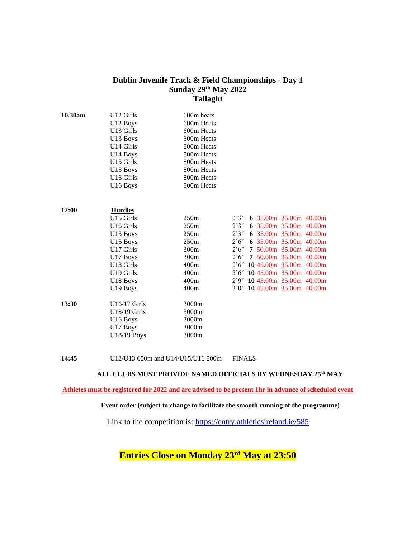## **Dublin Juvenile Track & Field Championships - Day 1 Sunday 29th May 2022 Tallaght**

| 10.30am | U12 Girls<br>U12 Boys<br>U13 Girls<br>U <sub>13</sub> Boys<br>U14 Girls<br>U14 Boys<br>U15 Girls<br>U15 Boys<br>U <sub>16</sub> Girls<br>U16 Boys                                           | 600m heats<br>600m Heats<br>600m Heats<br>600m Heats<br>800m Heats<br>800m Heats<br>800m Heats<br>800m Heats<br>800m Heats<br>800m Heats |                                                                                                                                                                                                                                                                                                  |                        |
|---------|---------------------------------------------------------------------------------------------------------------------------------------------------------------------------------------------|------------------------------------------------------------------------------------------------------------------------------------------|--------------------------------------------------------------------------------------------------------------------------------------------------------------------------------------------------------------------------------------------------------------------------------------------------|------------------------|
| 12:00   | <b>Hurdles</b><br>U15 Girls<br>U <sub>16</sub> Girls<br>U <sub>15</sub> Boys<br>U16 Boys<br>U17 Girls<br>U <sub>17</sub> Boys<br>U18 Girls<br>U19 Girls<br>U18 Boys<br>U <sub>19</sub> Boys | 250m<br>250m<br>250m<br>250m<br>300m<br>300m<br>400m<br>400m<br>400m<br>400m                                                             | 2'3" 6 35.00m 35.00m 40.00m<br>2'3" 6 35.00m 35.00m 40.00m<br>2'3" 6 35.00m 35.00m 40.00m<br>2'6" 6 35.00m 35.00m 40.00m<br>2'6''<br>2'6" 7 50.00m 35.00m 40.00m<br>2'6" 10 45.00m 35.00m 40.00m<br>2'6" 10 45.00m 35.00m 40.00m<br>2'9" 10 45.00m 35.00m 40.00m<br>3'0" 10 45.00m 35.00m 40.00m | 7 50.00m 35.00m 40.00m |
| 13:30   | U16/17 Girls<br>U18/19 Girls<br>U16 Boys<br>U17 Boys<br>U18/19 Boys                                                                                                                         | 3000m<br>3000m<br>3000m<br>3000m<br>3000m                                                                                                |                                                                                                                                                                                                                                                                                                  |                        |

### **14:45** U12/U13 600m and U14/U15/U16 800m FINALS

### **ALL CLUBS MUST PROVIDE NAMED OFFICIALS BY WEDNESDAY 25th MAY**

**Athletes must be registered for 2022 and are advised to be present 1hr in advance of scheduled event** 

#### **Event order (subject to change to facilitate the smooth running of the programme)**

Link to the competition is: <https://entry.athleticsireland.ie/585>

**Entries Close on Monday 23 rd May at 23:50**